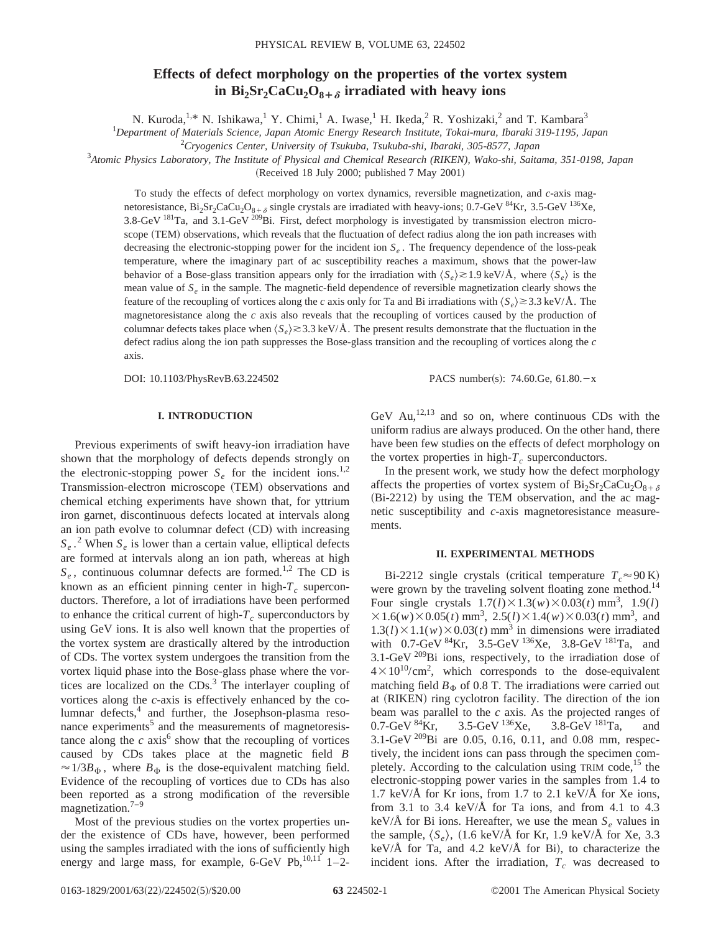# **Effects of defect morphology on the properties of the vortex system** in  $Bi_2Sr_2CaCu_2O_{8+\delta}$  irradiated with heavy ions

N. Kuroda,<sup>1,\*</sup> N. Ishikawa,<sup>1</sup> Y. Chimi,<sup>1</sup> A. Iwase,<sup>1</sup> H. Ikeda,<sup>2</sup> R. Yoshizaki,<sup>2</sup> and T. Kambara<sup>3</sup>

1 *Department of Materials Science, Japan Atomic Energy Research Institute, Tokai-mura, Ibaraki 319-1195, Japan*

2 *Cryogenics Center, University of Tsukuba, Tsukuba-shi, Ibaraki, 305-8577, Japan*

3 *Atomic Physics Laboratory, The Institute of Physical and Chemical Research (RIKEN), Wako-shi, Saitama, 351-0198, Japan*

(Received 18 July 2000; published 7 May 2001)

To study the effects of defect morphology on vortex dynamics, reversible magnetization, and *c*-axis magnetoresistance,  $Bi_2Sr_2CaCu_2O_{8+\delta}$  single crystals are irradiated with heavy-ions; 0.7-GeV  $^{84}Kr$ , 3.5-GeV  $^{136}Xe$ , 3.8-GeV <sup>181</sup>Ta, and 3.1-GeV <sup>209</sup>Bi. First, defect morphology is investigated by transmission electron microscope (TEM) observations, which reveals that the fluctuation of defect radius along the ion path increases with decreasing the electronic-stopping power for the incident ion  $S_e$ . The frequency dependence of the loss-peak temperature, where the imaginary part of ac susceptibility reaches a maximum, shows that the power-law behavior of a Bose-glass transition appears only for the irradiation with  $\langle S_e \rangle \ge 1.9$  keV/Å, where  $\langle S_e \rangle$  is the mean value of *Se* in the sample. The magnetic-field dependence of reversible magnetization clearly shows the feature of the recoupling of vortices along the *c* axis only for Ta and Bi irradiations with  $\langle S_e \rangle \ge 3.3$  keV/Å. The magnetoresistance along the *c* axis also reveals that the recoupling of vortices caused by the production of columnar defects takes place when  $\langle S_e \rangle \gtrsim 3.3$  keV/Å. The present results demonstrate that the fluctuation in the defect radius along the ion path suppresses the Bose-glass transition and the recoupling of vortices along the *c* axis.

DOI: 10.1103/PhysRevB.63.224502 PACS number(s): 74.60.Ge, 61.80.-x

## **I. INTRODUCTION**

Previous experiments of swift heavy-ion irradiation have shown that the morphology of defects depends strongly on the electronic-stopping power  $S_e$  for the incident ions.<sup>1,2</sup> Transmission-electron microscope (TEM) observations and chemical etching experiments have shown that, for yttrium iron garnet, discontinuous defects located at intervals along an ion path evolve to columnar defect  $(CD)$  with increasing  $S_e$ .<sup>2</sup> When  $S_e$  is lower than a certain value, elliptical defects are formed at intervals along an ion path, whereas at high  $S_e$ , continuous columnar defects are formed.<sup>1,2</sup> The CD is known as an efficient pinning center in high- $T_c$  superconductors. Therefore, a lot of irradiations have been performed to enhance the critical current of high- $T_c$  superconductors by using GeV ions. It is also well known that the properties of the vortex system are drastically altered by the introduction of CDs. The vortex system undergoes the transition from the vortex liquid phase into the Bose-glass phase where the vortices are localized on the  $CDs$ .<sup>3</sup> The interlayer coupling of vortices along the *c*-axis is effectively enhanced by the columnar defects,<sup>4</sup> and further, the Josephson-plasma resonance experiments $<sup>5</sup>$  and the measurements of magnetoresis-</sup> tance along the  $c$  axis<sup>6</sup> show that the recoupling of vortices caused by CDs takes place at the magnetic field *B*  $\approx 1/3B_{\Phi}$ , where  $B_{\Phi}$  is the dose-equivalent matching field. Evidence of the recoupling of vortices due to CDs has also been reported as a strong modification of the reversible magnetization.<sup>7–9</sup>

Most of the previous studies on the vortex properties under the existence of CDs have, however, been performed using the samples irradiated with the ions of sufficiently high energy and large mass, for example, 6-GeV Pb, $^{10,11}$  1-2GeV  $Au<sub>1</sub><sup>12,13</sup>$  and so on, where continuous CDs with the uniform radius are always produced. On the other hand, there have been few studies on the effects of defect morphology on the vortex properties in high- $T_c$  superconductors.

In the present work, we study how the defect morphology affects the properties of vortex system of  $Bi_2Sr_2CaCu_2O_{8+\delta}$  $(Bi-2212)$  by using the TEM observation, and the ac magnetic susceptibility and *c*-axis magnetoresistance measurements.

#### **II. EXPERIMENTAL METHODS**

Bi-2212 single crystals (critical temperature  $T_c \approx 90 \text{ K}$ ) were grown by the traveling solvent floating zone method.<sup>14</sup> Four single crystals  $1.7(l) \times 1.3(w) \times 0.03(t)$  mm<sup>3</sup>, 1.9(*l*)  $\times$ 1.6(*w*) $\times$ 0.05(*t*) mm<sup>3</sup>, 2.5(*l*) $\times$ 1.4(*w*) $\times$ 0.03(*t*) mm<sup>3</sup>, and  $1.3(l) \times 1.1(w) \times 0.03(t)$  mm<sup>3</sup> in dimensions were irradiated with  $0.7-\text{GeV}^{84}\text{Kr}$ ,  $3.5-\text{GeV}^{136}\text{X}$ e,  $3.8-\text{GeV}^{181}\text{Ta}$ , and 3.1-GeV  $^{209}$ Bi ions, respectively, to the irradiation dose of  $4 \times 10^{10}$ /cm<sup>2</sup>, which corresponds to the dose-equivalent matching field  $B_{\Phi}$  of 0.8 T. The irradiations were carried out at (RIKEN) ring cyclotron facility. The direction of the ion beam was parallel to the *c* axis. As the projected ranges of 0.7-GeV  $^{84}$ Kr, 3.5-GeV  $^{136}$ Xe, 3.8-GeV  $^{181}$ Ta, and 3.5-GeV  $^{136}$ Xe, 3.8-GeV  $^{181}$ Ta, and 3.1-GeV 209Bi are 0.05, 0.16, 0.11, and 0.08 mm, respectively, the incident ions can pass through the specimen completely. According to the calculation using TRIM code,  $15$  the electronic-stopping power varies in the samples from 1.4 to 1.7 keV/ $\AA$  for Kr ions, from 1.7 to 2.1 keV/ $\AA$  for Xe ions, from 3.1 to 3.4 keV/ $\AA$  for Ta ions, and from 4.1 to 4.3 keV/ $\AA$  for Bi ions. Hereafter, we use the mean  $S_e$  values in the sample,  $\langle S_e \rangle$ ,  $(1.6 \text{ keV/A}$  for Kr, 1.9 keV/Å for Xe, 3.3 keV/ $\AA$  for Ta, and 4.2 keV/ $\AA$  for Bi), to characterize the incident ions. After the irradiation,  $T_c$  was decreased to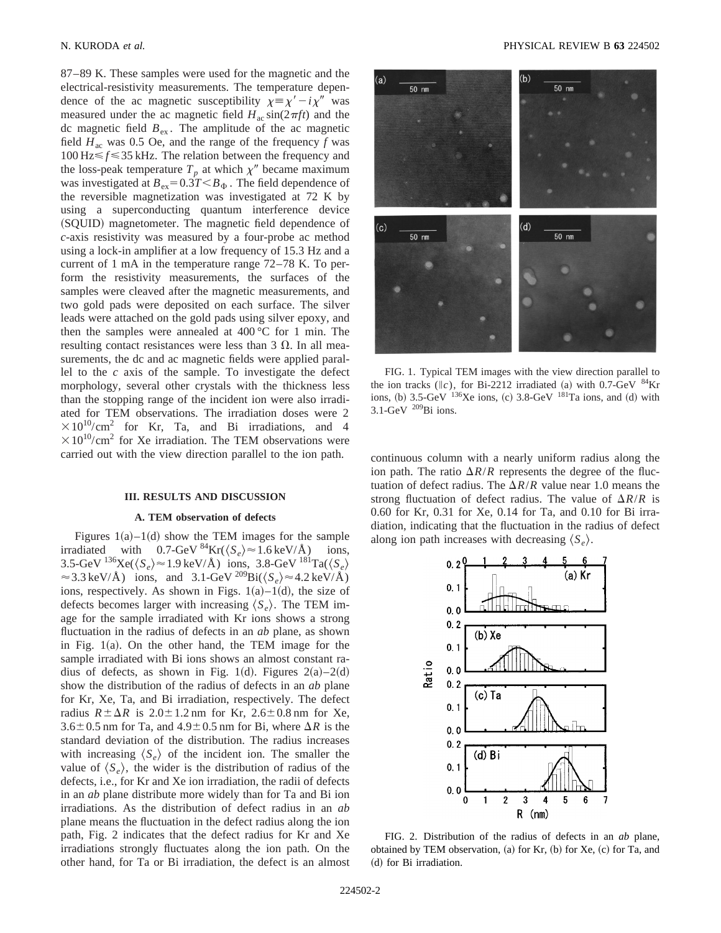87–89 K. These samples were used for the magnetic and the electrical-resistivity measurements. The temperature dependence of the ac magnetic susceptibility  $\chi = \chi' - i\chi''$  was measured under the ac magnetic field  $H_{ac} \sin(2\pi f t)$  and the dc magnetic field  $B_{ex}$ . The amplitude of the ac magnetic field  $H_{ac}$  was 0.5 Oe, and the range of the frequency  $f$  was  $100 \text{ Hz} \le f \le 35 \text{ kHz}$ . The relation between the frequency and the loss-peak temperature  $T_p$  at which  $\chi''$  became maximum was investigated at  $B_{ex} = 0.3T < B_{\Phi}$ . The field dependence of the reversible magnetization was investigated at 72 K by using a superconducting quantum interference device (SQUID) magnetometer. The magnetic field dependence of *c*-axis resistivity was measured by a four-probe ac method using a lock-in amplifier at a low frequency of 15.3 Hz and a current of 1 mA in the temperature range 72–78 K. To perform the resistivity measurements, the surfaces of the samples were cleaved after the magnetic measurements, and two gold pads were deposited on each surface. The silver leads were attached on the gold pads using silver epoxy, and then the samples were annealed at  $400^{\circ}$ C for 1 min. The resulting contact resistances were less than  $3 \Omega$ . In all measurements, the dc and ac magnetic fields were applied parallel to the *c* axis of the sample. To investigate the defect morphology, several other crystals with the thickness less than the stopping range of the incident ion were also irradiated for TEM observations. The irradiation doses were 2  $\times10^{10}/\text{cm}^2$  for Kr, Ta, and Bi irradiations, and 4  $\times 10^{10}/\text{cm}^2$  for Xe irradiation. The TEM observations were carried out with the view direction parallel to the ion path.

#### **III. RESULTS AND DISCUSSION**

#### **A. TEM observation of defects**

Figures  $1(a)$ – $1(d)$  show the TEM images for the sample irradiated with  $0.7$ -GeV <sup>84</sup>Kr( $\langle S_e \rangle \approx 1.6$  keV/Å) ions, 3.5-GeV  $^{136}$ Xe( $\langle S_e \rangle \approx 1.9$  keV/Å) ions, 3.8-GeV  $^{181}$ Ta( $\langle S_e \rangle$  $\approx$  3.3 keV/Å) ions, and 3.1-GeV <sup>209</sup>Bi( $\langle S_e \rangle \approx$  4.2 keV/Å) ions, respectively. As shown in Figs.  $1(a) - 1(d)$ , the size of defects becomes larger with increasing  $\langle S_e \rangle$ . The TEM image for the sample irradiated with Kr ions shows a strong fluctuation in the radius of defects in an *ab* plane, as shown in Fig.  $1(a)$ . On the other hand, the TEM image for the sample irradiated with Bi ions shows an almost constant radius of defects, as shown in Fig. 1(d). Figures  $2(a)-2(d)$ show the distribution of the radius of defects in an *ab* plane for Kr, Xe, Ta, and Bi irradiation, respectively. The defect radius  $R \pm \Delta R$  is 2.0 $\pm$ 1.2 nm for Kr, 2.6 $\pm$ 0.8 nm for Xe,  $3.6\pm0.5$  nm for Ta, and  $4.9\pm0.5$  nm for Bi, where  $\Delta R$  is the standard deviation of the distribution. The radius increases with increasing  $\langle S_e \rangle$  of the incident ion. The smaller the value of  $\langle S_e \rangle$ , the wider is the distribution of radius of the defects, i.e., for Kr and Xe ion irradiation, the radii of defects in an *ab* plane distribute more widely than for Ta and Bi ion irradiations. As the distribution of defect radius in an *ab* plane means the fluctuation in the defect radius along the ion path, Fig. 2 indicates that the defect radius for Kr and Xe irradiations strongly fluctuates along the ion path. On the other hand, for Ta or Bi irradiation, the defect is an almost



FIG. 1. Typical TEM images with the view direction parallel to the ion tracks ( $\parallel c$ ), for Bi-2212 irradiated (a) with 0.7-GeV  $^{84}$ Kr ions, (b)  $3.5$ -GeV  $^{136}$ Xe ions, (c)  $3.8$ -GeV  $^{181}$ Ta ions, and (d) with  $3.1$ -GeV  $^{209}$ Bi ions.

continuous column with a nearly uniform radius along the ion path. The ratio  $\Delta R/R$  represents the degree of the fluctuation of defect radius. The  $\Delta R/R$  value near 1.0 means the strong fluctuation of defect radius. The value of  $\Delta R/R$  is 0.60 for Kr, 0.31 for Xe, 0.14 for Ta, and 0.10 for Bi irradiation, indicating that the fluctuation in the radius of defect along ion path increases with decreasing  $\langle S_e \rangle$ .



FIG. 2. Distribution of the radius of defects in an *ab* plane, obtained by TEM observation,  $(a)$  for Kr,  $(b)$  for Xe,  $(c)$  for Ta, and (d) for Bi irradiation.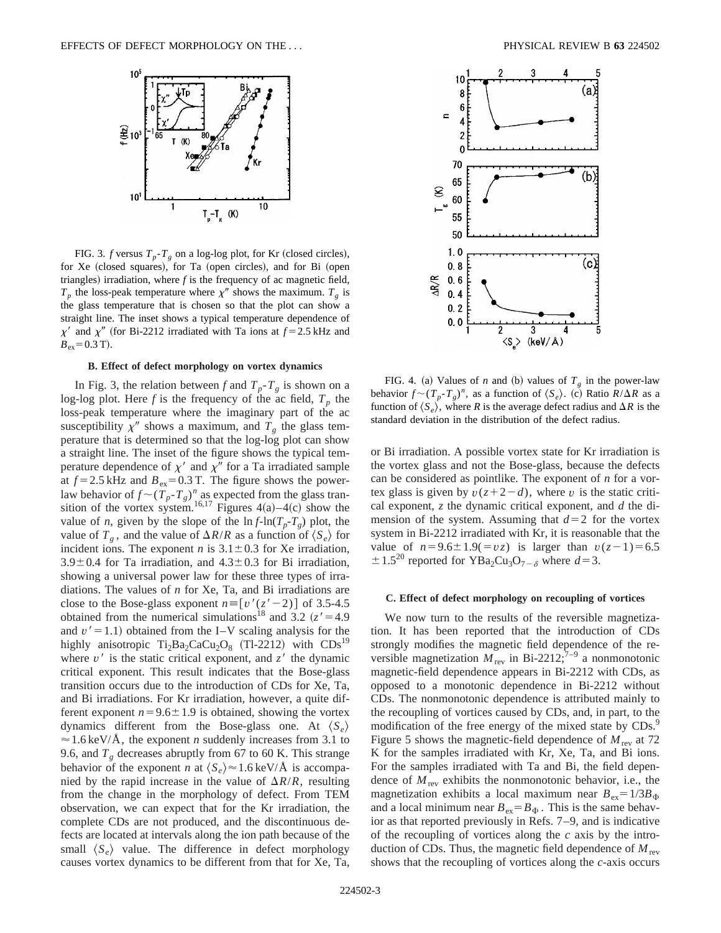

FIG. 3. *f* versus  $T_p - T_g$  on a log-log plot, for Kr (closed circles), for Xe (closed squares), for Ta (open circles), and for Bi (open triangles) irradiation, where  $f$  is the frequency of ac magnetic field,  $T_p$  the loss-peak temperature where  $\chi''$  shows the maximum.  $T_g$  is the glass temperature that is chosen so that the plot can show a straight line. The inset shows a typical temperature dependence of  $\chi'$  and  $\chi''$  (for Bi-2212 irradiated with Ta ions at  $f = 2.5$  kHz and  $B_{\text{ex}}=0.3$  T).

#### **B. Effect of defect morphology on vortex dynamics**

In Fig. 3, the relation between *f* and  $T_p - T_g$  is shown on a log-log plot. Here  $f$  is the frequency of the ac field,  $T_p$  the loss-peak temperature where the imaginary part of the ac susceptibility  $\chi''$  shows a maximum, and  $T_g$  the glass temperature that is determined so that the log-log plot can show a straight line. The inset of the figure shows the typical temperature dependence of  $\chi'$  and  $\chi''$  for a Ta irradiated sample at  $f = 2.5$  kHz and  $B_{ex} = 0.3$  T. The figure shows the powerlaw behavior of  $f \sim (T_p - T_g)^n$  as expected from the glass transition of the vortex system.<sup>16,17</sup> Figures  $4(a)$ –4(c) show the value of *n*, given by the slope of the  $\ln f - \ln(T_p - T_g)$  plot, the value of  $T_g$ , and the value of  $\Delta R/R$  as a function of  $\langle S_e \rangle$  for incident ions. The exponent *n* is  $3.1 \pm 0.3$  for Xe irradiation,  $3.9\pm0.4$  for Ta irradiation, and  $4.3\pm0.3$  for Bi irradiation, showing a universal power law for these three types of irradiations. The values of *n* for Xe, Ta, and Bi irradiations are close to the Bose-glass exponent  $n \equiv [v'(z'-2)]$  of 3.5-4.5 obtained from the numerical simulations<sup>18</sup> and 3.2  $(z' = 4.9$ and  $v' = 1.1$ ) obtained from the I–V scaling analysis for the highly anisotropic  $Ti<sub>2</sub>Ba<sub>2</sub>CaCu<sub>2</sub>O<sub>8</sub>$  (Tl-2212) with  $CDs<sup>19</sup>$ where  $v'$  is the static critical exponent, and  $z'$  the dynamic critical exponent. This result indicates that the Bose-glass transition occurs due to the introduction of CDs for Xe, Ta, and Bi irradiations. For Kr irradiation, however, a quite different exponent  $n=9.6\pm1.9$  is obtained, showing the vortex dynamics different from the Bose-glass one. At  $\langle S_e \rangle$  $\approx$  1.6 keV/Å, the exponent *n* suddenly increases from 3.1 to 9.6, and  $T_g$  decreases abruptly from 67 to 60 K. This strange behavior of the exponent *n* at  $\langle S_e \rangle \approx 1.6 \text{ keV/A}$  is accompanied by the rapid increase in the value of  $\Delta R/R$ , resulting from the change in the morphology of defect. From TEM observation, we can expect that for the Kr irradiation, the complete CDs are not produced, and the discontinuous defects are located at intervals along the ion path because of the small  $\langle S_e \rangle$  value. The difference in defect morphology causes vortex dynamics to be different from that for Xe, Ta,



FIG. 4. (a) Values of *n* and (b) values of  $T_g$  in the power-law behavior  $f \sim (T_p - T_g)^n$ , as a function of  $\langle S_e \rangle$ . (c) Ratio  $R/\Delta R$  as a function of  $\langle S_e \rangle$ , where *R* is the average defect radius and  $\Delta R$  is the standard deviation in the distribution of the defect radius.

or Bi irradiation. A possible vortex state for Kr irradiation is the vortex glass and not the Bose-glass, because the defects can be considered as pointlike. The exponent of *n* for a vortex glass is given by  $v(z+2-d)$ , where *v* is the static critical exponent, *z* the dynamic critical exponent, and *d* the dimension of the system. Assuming that  $d=2$  for the vortex system in Bi-2212 irradiated with Kr, it is reasonable that the value of  $n=9.6\pm1.9(=vz)$  is larger than  $v(z-1)=6.5$  $\pm$  1.5<sup>20</sup> reported for YBa<sub>2</sub>Cu<sub>3</sub>O<sub>7- $\delta$ </sub> where *d*=3.

#### **C. Effect of defect morphology on recoupling of vortices**

We now turn to the results of the reversible magnetization. It has been reported that the introduction of CDs strongly modifies the magnetic field dependence of the reversible magnetization  $M_{\text{rev}}$  in Bi-2212;<sup>7–9</sup> a nonmonotonic magnetic-field dependence appears in Bi-2212 with CDs, as opposed to a monotonic dependence in Bi-2212 without CDs. The nonmonotonic dependence is attributed mainly to the recoupling of vortices caused by CDs, and, in part, to the modification of the free energy of the mixed state by CDs.<sup>9</sup> Figure 5 shows the magnetic-field dependence of  $M_{\text{rev}}$  at 72 K for the samples irradiated with Kr, Xe, Ta, and Bi ions. For the samples irradiated with Ta and Bi, the field dependence of  $M_{\text{rev}}$  exhibits the nonmonotonic behavior, i.e., the magnetization exhibits a local maximum near  $B_{ex} = 1/3B_{\Phi}$ and a local minimum near  $B_{ex} = B_{\Phi}$ . This is the same behavior as that reported previously in Refs. 7–9, and is indicative of the recoupling of vortices along the *c* axis by the introduction of CDs. Thus, the magnetic field dependence of  $M_{\text{rev}}$ shows that the recoupling of vortices along the *c*-axis occurs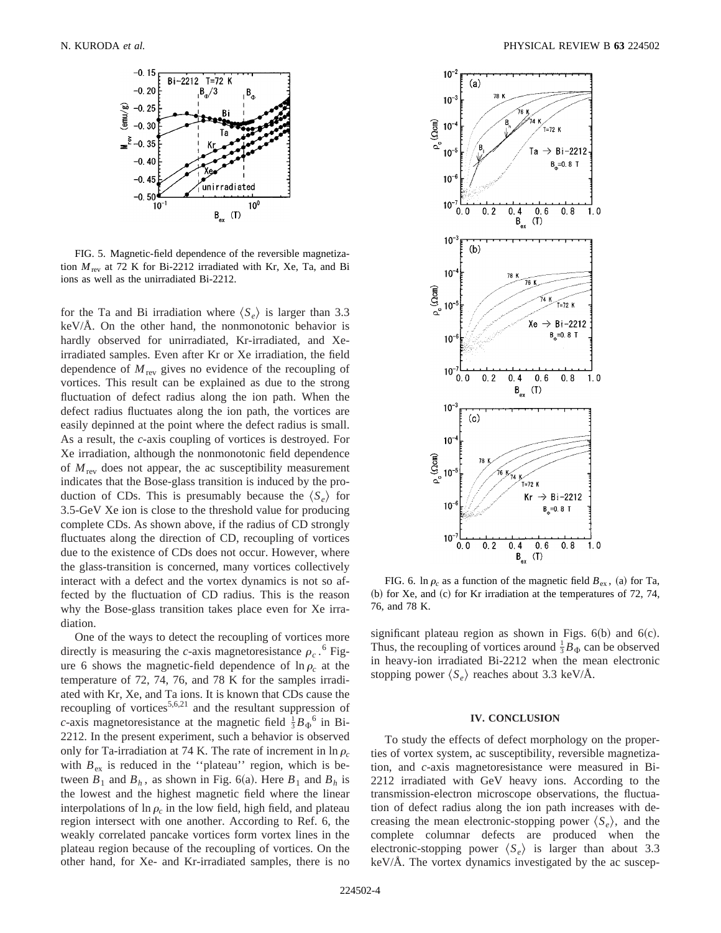

FIG. 5. Magnetic-field dependence of the reversible magnetization  $M_{\text{rev}}$  at 72 K for Bi-2212 irradiated with Kr, Xe, Ta, and Bi ions as well as the unirradiated Bi-2212.

for the Ta and Bi irradiation where  $\langle S_e \rangle$  is larger than 3.3 keV/Å. On the other hand, the nonmonotonic behavior is hardly observed for unirradiated, Kr-irradiated, and Xeirradiated samples. Even after Kr or Xe irradiation, the field dependence of  $M_{\text{rev}}$  gives no evidence of the recoupling of vortices. This result can be explained as due to the strong fluctuation of defect radius along the ion path. When the defect radius fluctuates along the ion path, the vortices are easily depinned at the point where the defect radius is small. As a result, the *c*-axis coupling of vortices is destroyed. For Xe irradiation, although the nonmonotonic field dependence of  $M_{\text{rev}}$  does not appear, the ac susceptibility measurement indicates that the Bose-glass transition is induced by the production of CDs. This is presumably because the  $\langle S_e \rangle$  for 3.5-GeV Xe ion is close to the threshold value for producing complete CDs. As shown above, if the radius of CD strongly fluctuates along the direction of CD, recoupling of vortices due to the existence of CDs does not occur. However, where the glass-transition is concerned, many vortices collectively interact with a defect and the vortex dynamics is not so affected by the fluctuation of CD radius. This is the reason why the Bose-glass transition takes place even for Xe irradiation.

One of the ways to detect the recoupling of vortices more directly is measuring the *c*-axis magnetoresistance  $\rho_c$ .<sup>6</sup> Figure 6 shows the magnetic-field dependence of  $\ln \rho_c$  at the temperature of 72, 74, 76, and 78 K for the samples irradiated with Kr, Xe, and Ta ions. It is known that CDs cause the recoupling of vortices $5,6,21$  and the resultant suppression of *c*-axis magnetoresistance at the magnetic field  $\frac{1}{3}B_{\Phi}$ <sup>6</sup> in Bi-2212. In the present experiment, such a behavior is observed only for Ta-irradiation at 74 K. The rate of increment in  $\ln \rho_c$ with  $B_{ex}$  is reduced in the "plateau" region, which is between  $B_1$  and  $B_h$ , as shown in Fig. 6(a). Here  $B_1$  and  $B_h$  is the lowest and the highest magnetic field where the linear interpolations of  $\ln \rho_c$  in the low field, high field, and plateau region intersect with one another. According to Ref. 6, the weakly correlated pancake vortices form vortex lines in the plateau region because of the recoupling of vortices. On the other hand, for Xe- and Kr-irradiated samples, there is no



FIG. 6. ln  $\rho_c$  as a function of the magnetic field  $B_{\text{ex}}$ , (a) for Ta, (b) for Xe, and (c) for Kr irradiation at the temperatures of  $72, 74$ , 76, and 78 K.

significant plateau region as shown in Figs.  $6(b)$  and  $6(c)$ . Thus, the recoupling of vortices around  $\frac{1}{3}B_{\Phi}$  can be observed in heavy-ion irradiated Bi-2212 when the mean electronic stopping power  $\langle S_e \rangle$  reaches about 3.3 keV/Å.

### **IV. CONCLUSION**

To study the effects of defect morphology on the properties of vortex system, ac susceptibility, reversible magnetization, and *c*-axis magnetoresistance were measured in Bi-2212 irradiated with GeV heavy ions. According to the transmission-electron microscope observations, the fluctuation of defect radius along the ion path increases with decreasing the mean electronic-stopping power  $\langle S_e \rangle$ , and the complete columnar defects are produced when the electronic-stopping power  $\langle S_e \rangle$  is larger than about 3.3 keV/Å. The vortex dynamics investigated by the ac suscep